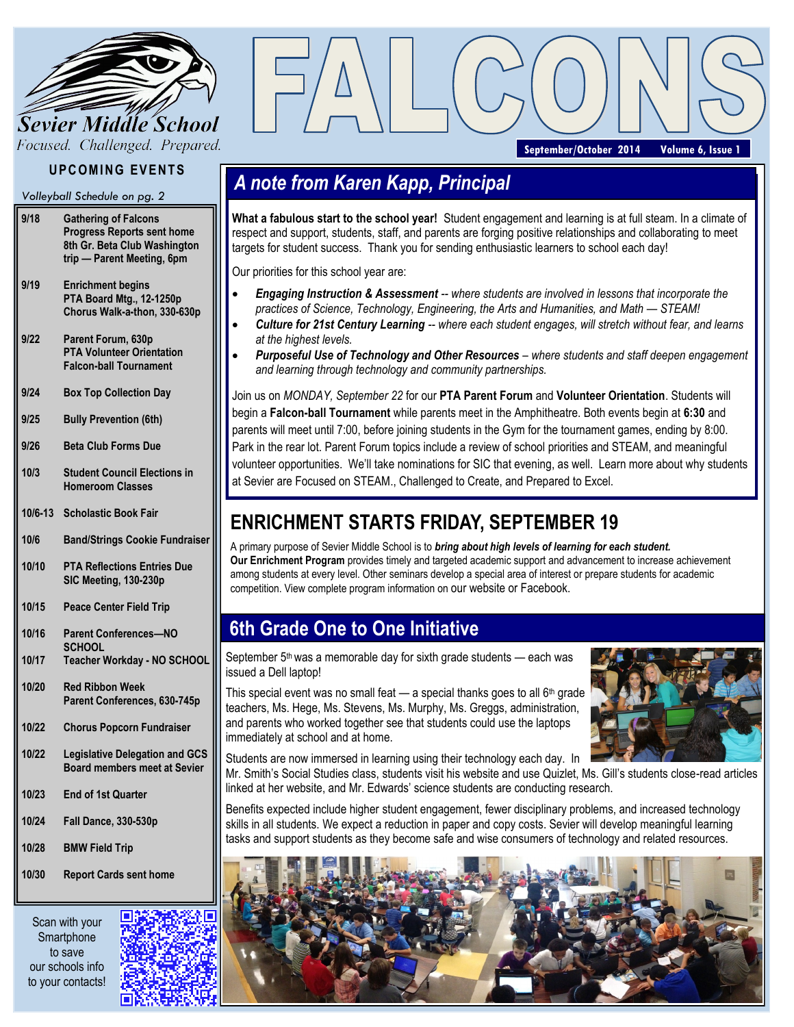

Focused. Challenged. Prepared.

### **UPCOMING EVENTS**

*Volleyball Schedule on pg. 2*

- **9/18 Gathering of Falcons Progress Reports sent home 8th Gr. Beta Club Washington trip — Parent Meeting, 6pm**
- **9/19 Enrichment begins PTA Board Mtg., 12-1250p Chorus Walk-a-thon, 330-630p**
- **9/22 Parent Forum, 630p PTA Volunteer Orientation Falcon-ball Tournament**
- **9/24 Box Top Collection Day**
- **9/25 Bully Prevention (6th)**
- **9/26 Beta Club Forms Due**
- **10/3 Student Council Elections in Homeroom Classes**
- **10/6-13 Scholastic Book Fair**
- **10/6 Band/Strings Cookie Fundraiser**
- **10/10 PTA Reflections Entries Due SIC Meeting, 130-230p**
- **10/15 Peace Center Field Trip**
- **10/16 Parent Conferences—NO SCHOOL**
- **10/17 Teacher Workday - NO SCHOOL**
- **10/20 Red Ribbon Week Parent Conferences, 630-745p**
- **10/22 Chorus Popcorn Fundraiser**
- **10/22 Legislative Delegation and GCS Board members meet at Sevier**
- **10/23 End of 1st Quarter**
- **10/24 Fall Dance, 330-530p**
- **10/28 BMW Field Trip**
- **10/30 Report Cards sent home**

Scan with your **Smartphone** to save our schools info to your contacts!



**September/October 2014 Volume 6, Issue 1**

### *A note from Karen Kapp, Principal*

**What a fabulous start to the school year!** Student engagement and learning is at full steam. In a climate of respect and support, students, staff, and parents are forging positive relationships and collaborating to meet targets for student success. Thank you for sending enthusiastic learners to school each day!

Our priorities for this school year are:

- *Engaging Instruction & Assessment -- where students are involved in lessons that incorporate the practices of Science, Technology, Engineering, the Arts and Humanities, and Math — STEAM!*
- *Culture for 21st Century Learning -- where each student engages, will stretch without fear, and learns at the highest levels.*
- **Purposeful Use of Technology and Other Resources** where students and staff deepen engagement *and learning through technology and community partnerships.*

Join us on *MONDAY, September 22* for our **PTA Parent Forum** and **Volunteer Orientation**. Students will begin a **Falcon-ball Tournament** while parents meet in the Amphitheatre. Both events begin at **6:30** and parents will meet until 7:00, before joining students in the Gym for the tournament games, ending by 8:00. Park in the rear lot. Parent Forum topics include a review of school priorities and STEAM, and meaningful volunteer opportunities. We'll take nominations for SIC that evening, as well. Learn more about why students at Sevier are Focused on STEAM., Challenged to Create, and Prepared to Excel.

### **ENRICHMENT STARTS FRIDAY, SEPTEMBER 19**

A primary purpose of Sevier Middle School is to *bring about high levels of learning for each student.* **Our Enrichment Program** provides timely and targeted academic support and advancement to increase achievement among students at every level. Other seminars develop a special area of interest or prepare students for academic competition. View complete program information on our website or Facebook.

### **6th Grade One to One Initiative**

September 5<sup>th</sup> was a memorable day for sixth grade students — each was issued a Dell laptop!

This special event was no small feat  $-$  a special thanks goes to all  $6<sup>th</sup>$  grade teachers, Ms. Hege, Ms. Stevens, Ms. Murphy, Ms. Greggs, administration, and parents who worked together see that students could use the laptops immediately at school and at home.



Students are now immersed in learning using their technology each day. In

Mr. Smith's Social Studies class, students visit his website and use Quizlet, Ms. Gill's students close-read articles linked at her website, and Mr. Edwards' science students are conducting research.

Benefits expected include higher student engagement, fewer disciplinary problems, and increased technology skills in all students. We expect a reduction in paper and copy costs. Sevier will develop meaningful learning tasks and support students as they become safe and wise consumers of technology and related resources.